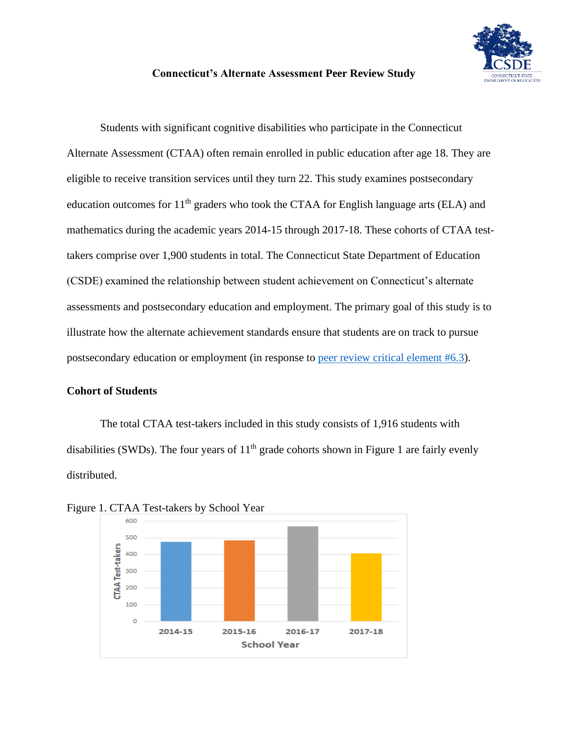

## **Connecticut's Alternate Assessment Peer Review Study**

Students with significant cognitive disabilities who participate in the Connecticut Alternate Assessment (CTAA) often remain enrolled in public education after age 18. They are eligible to receive transition services until they turn 22. This study examines postsecondary education outcomes for  $11<sup>th</sup>$  graders who took the CTAA for English language arts (ELA) and mathematics during the academic years 2014-15 through 2017-18. These cohorts of CTAA testtakers comprise over 1,900 students in total. The Connecticut State Department of Education (CSDE) examined the relationship between student achievement on Connecticut's alternate assessments and postsecondary education and employment. The primary goal of this study is to illustrate how the alternate achievement standards ensure that students are on track to pursue postsecondary education or employment (in response to [peer review critical element #6.3\)](https://www2.ed.gov/admins/lead/account/saa/assessmentpeerreview.pdf).

#### **Cohort of Students**

The total CTAA test-takers included in this study consists of 1,916 students with disabilities (SWDs). The four years of  $11<sup>th</sup>$  grade cohorts shown in Figure 1 are fairly evenly distributed.



Figure 1. CTAA Test-takers by School Year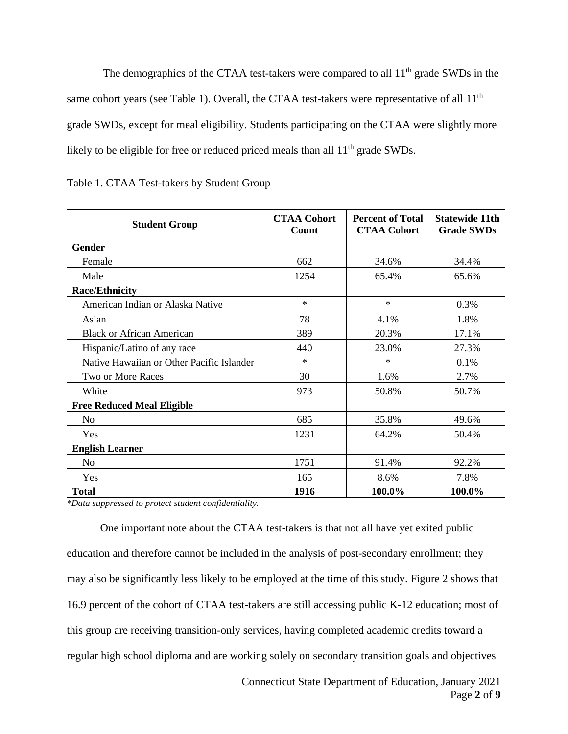The demographics of the CTAA test-takers were compared to all  $11<sup>th</sup>$  grade SWDs in the same cohort years (see Table 1). Overall, the CTAA test-takers were representative of all 11<sup>th</sup> grade SWDs, except for meal eligibility. Students participating on the CTAA were slightly more likely to be eligible for free or reduced priced meals than all  $11<sup>th</sup>$  grade SWDs.

| <b>Student Group</b>                      | <b>CTAA Cohort</b><br>Count | <b>Percent of Total</b><br><b>CTAA Cohort</b> | <b>Statewide 11th</b><br><b>Grade SWDs</b> |
|-------------------------------------------|-----------------------------|-----------------------------------------------|--------------------------------------------|
| Gender                                    |                             |                                               |                                            |
| Female                                    | 662                         | 34.6%                                         | 34.4%                                      |
| Male                                      | 1254                        | 65.4%                                         | 65.6%                                      |
| <b>Race/Ethnicity</b>                     |                             |                                               |                                            |
| American Indian or Alaska Native          | $\ast$                      | $\ast$                                        | 0.3%                                       |
| Asian                                     | 78                          | 4.1%                                          | 1.8%                                       |
| <b>Black or African American</b>          | 389                         | 20.3%                                         | 17.1%                                      |
| Hispanic/Latino of any race               | 440                         | 23.0%                                         | 27.3%                                      |
| Native Hawaiian or Other Pacific Islander | $\ast$                      | $\ast$                                        | 0.1%                                       |
| Two or More Races                         | 30                          | 1.6%                                          | 2.7%                                       |
| White                                     | 973                         | 50.8%                                         | 50.7%                                      |
| <b>Free Reduced Meal Eligible</b>         |                             |                                               |                                            |
| N <sub>o</sub>                            | 685                         | 35.8%                                         | 49.6%                                      |
| Yes                                       | 1231                        | 64.2%                                         | 50.4%                                      |
| <b>English Learner</b>                    |                             |                                               |                                            |
| N <sub>0</sub>                            | 1751                        | 91.4%                                         | 92.2%                                      |
| Yes                                       | 165                         | 8.6%                                          | 7.8%                                       |
| <b>Total</b>                              | 1916                        | 100.0%                                        | 100.0%                                     |

Table 1. CTAA Test-takers by Student Group

*\*Data suppressed to protect student confidentiality.*

One important note about the CTAA test-takers is that not all have yet exited public education and therefore cannot be included in the analysis of post-secondary enrollment; they may also be significantly less likely to be employed at the time of this study. Figure 2 shows that 16.9 percent of the cohort of CTAA test-takers are still accessing public K-12 education; most of this group are receiving transition-only services, having completed academic credits toward a regular high school diploma and are working solely on secondary transition goals and objectives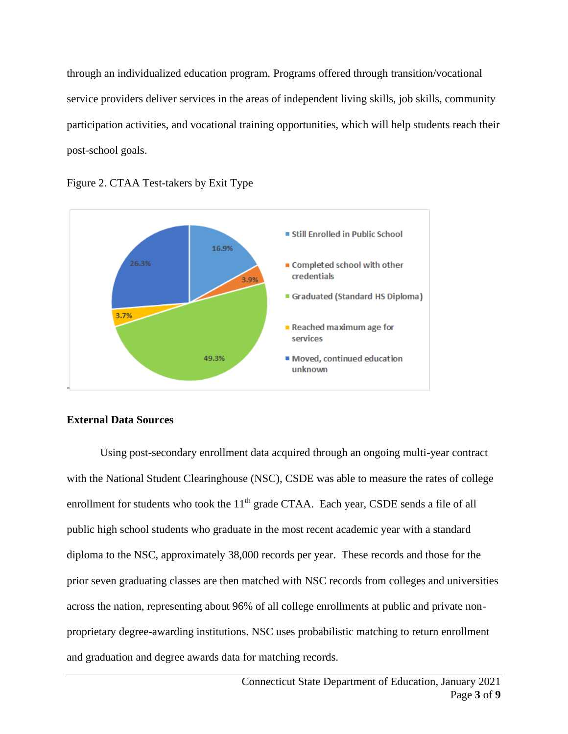through an individualized education program. Programs offered through transition/vocational service providers deliver services in the areas of independent living skills, job skills, community participation activities, and vocational training opportunities, which will help students reach their post-school goals.





# **External Data Sources**

Using post-secondary enrollment data acquired through an ongoing multi-year contract with the National Student Clearinghouse (NSC), CSDE was able to measure the rates of college enrollment for students who took the  $11<sup>th</sup>$  grade CTAA. Each year, CSDE sends a file of all public high school students who graduate in the most recent academic year with a standard diploma to the NSC, approximately 38,000 records per year. These records and those for the prior seven graduating classes are then matched with NSC records from colleges and universities across the nation, representing about 96% of all college enrollments at public and private nonproprietary degree-awarding institutions. NSC uses probabilistic matching to return enrollment and graduation and degree awards data for matching records.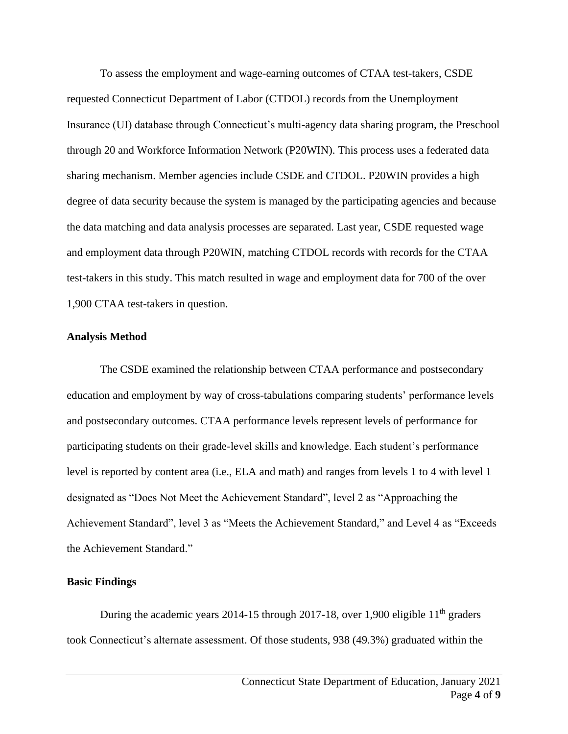To assess the employment and wage-earning outcomes of CTAA test-takers, CSDE requested Connecticut Department of Labor (CTDOL) records from the Unemployment Insurance (UI) database through Connecticut's multi-agency data sharing program, the Preschool through 20 and Workforce Information Network (P20WIN). This process uses a federated data sharing mechanism. Member agencies include CSDE and CTDOL. P20WIN provides a high degree of data security because the system is managed by the participating agencies and because the data matching and data analysis processes are separated. Last year, CSDE requested wage and employment data through P20WIN, matching CTDOL records with records for the CTAA test-takers in this study. This match resulted in wage and employment data for 700 of the over 1,900 CTAA test-takers in question.

## **Analysis Method**

The CSDE examined the relationship between CTAA performance and postsecondary education and employment by way of cross-tabulations comparing students' performance levels and postsecondary outcomes. CTAA performance levels represent levels of performance for participating students on their grade-level skills and knowledge. Each student's performance level is reported by content area (i.e., ELA and math) and ranges from levels 1 to 4 with level 1 designated as "Does Not Meet the Achievement Standard", level 2 as "Approaching the Achievement Standard", level 3 as "Meets the Achievement Standard," and Level 4 as "Exceeds the Achievement Standard."

## **Basic Findings**

During the academic years 2014-15 through 2017-18, over 1,900 eligible 11<sup>th</sup> graders took Connecticut's alternate assessment. Of those students, 938 (49.3%) graduated within the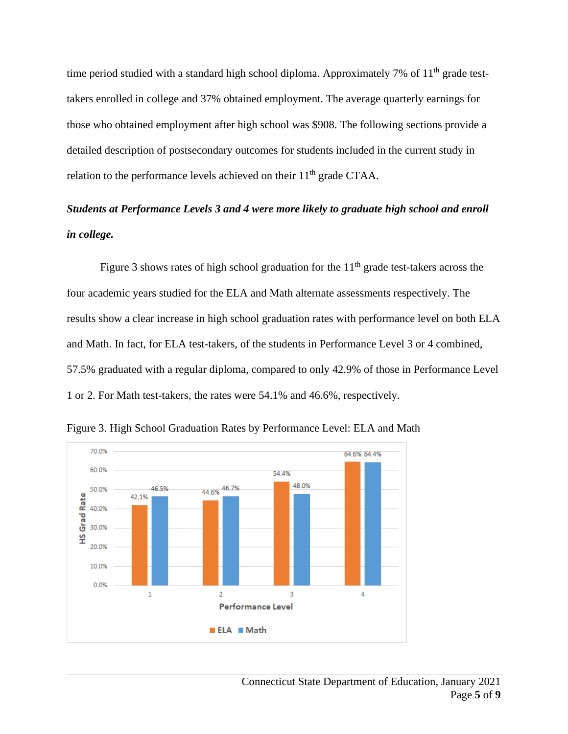time period studied with a standard high school diploma. Approximately 7% of  $11<sup>th</sup>$  grade testtakers enrolled in college and 37% obtained employment. The average quarterly earnings for those who obtained employment after high school was \$908. The following sections provide a detailed description of postsecondary outcomes for students included in the current study in relation to the performance levels achieved on their 11<sup>th</sup> grade CTAA.

# *Students at Performance Levels 3 and 4 were more likely to graduate high school and enroll in college.*

Figure 3 shows rates of high school graduation for the  $11<sup>th</sup>$  grade test-takers across the four academic years studied for the ELA and Math alternate assessments respectively. The results show a clear increase in high school graduation rates with performance level on both ELA and Math. In fact, for ELA test-takers, of the students in Performance Level 3 or 4 combined, 57.5% graduated with a regular diploma, compared to only 42.9% of those in Performance Level 1 or 2. For Math test-takers, the rates were 54.1% and 46.6%, respectively.



Figure 3. High School Graduation Rates by Performance Level: ELA and Math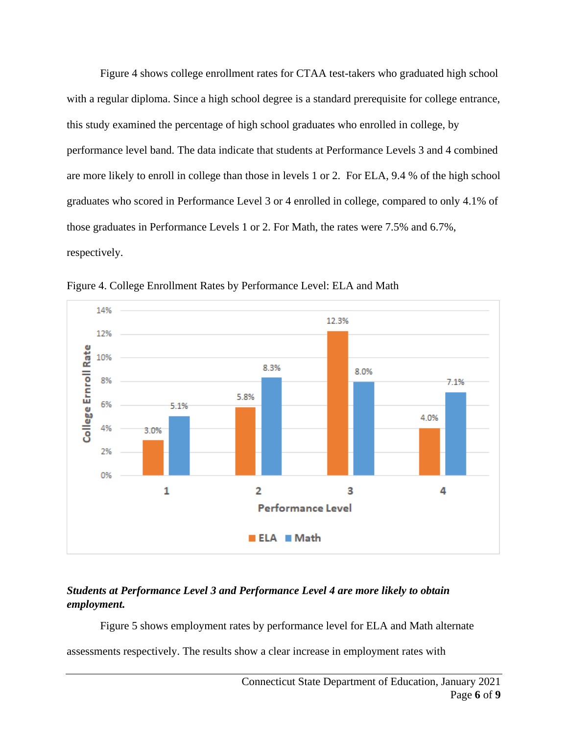Figure 4 shows college enrollment rates for CTAA test-takers who graduated high school with a regular diploma. Since a high school degree is a standard prerequisite for college entrance, this study examined the percentage of high school graduates who enrolled in college, by performance level band. The data indicate that students at Performance Levels 3 and 4 combined are more likely to enroll in college than those in levels 1 or 2. For ELA, 9.4 % of the high school graduates who scored in Performance Level 3 or 4 enrolled in college, compared to only 4.1% of those graduates in Performance Levels 1 or 2. For Math, the rates were 7.5% and 6.7%, respectively.



Figure 4. College Enrollment Rates by Performance Level: ELA and Math

# *Students at Performance Level 3 and Performance Level 4 are more likely to obtain employment.*

Figure 5 shows employment rates by performance level for ELA and Math alternate

assessments respectively. The results show a clear increase in employment rates with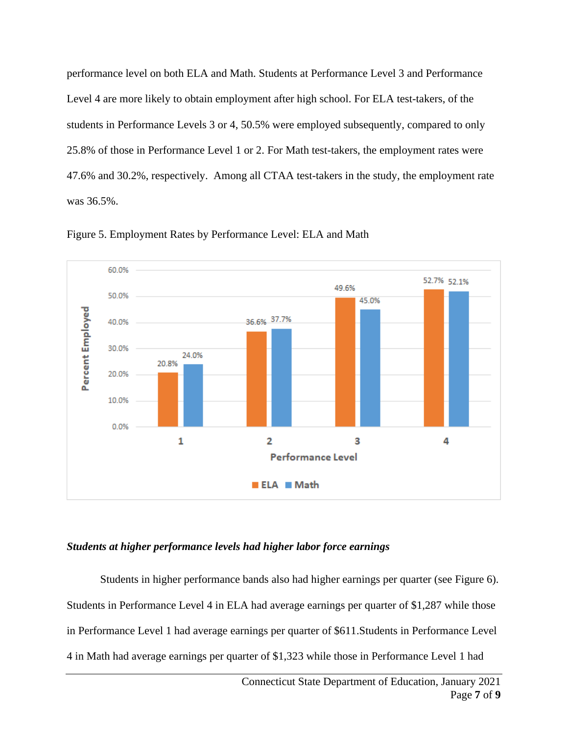performance level on both ELA and Math. Students at Performance Level 3 and Performance Level 4 are more likely to obtain employment after high school. For ELA test-takers, of the students in Performance Levels 3 or 4, 50.5% were employed subsequently, compared to only 25.8% of those in Performance Level 1 or 2. For Math test-takers, the employment rates were 47.6% and 30.2%, respectively. Among all CTAA test-takers in the study, the employment rate was 36.5%.



Figure 5. Employment Rates by Performance Level: ELA and Math

# *Students at higher performance levels had higher labor force earnings*

Students in higher performance bands also had higher earnings per quarter (see Figure 6). Students in Performance Level 4 in ELA had average earnings per quarter of \$1,287 while those in Performance Level 1 had average earnings per quarter of \$611.Students in Performance Level 4 in Math had average earnings per quarter of \$1,323 while those in Performance Level 1 had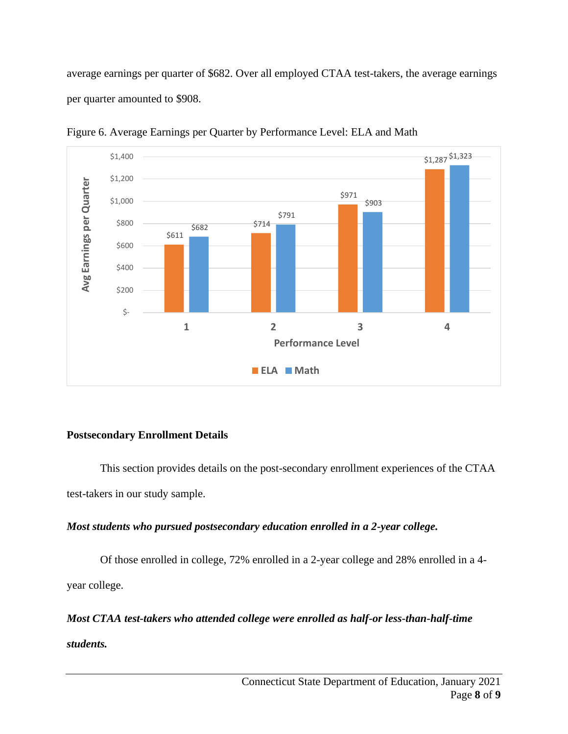average earnings per quarter of \$682. Over all employed CTAA test-takers, the average earnings per quarter amounted to \$908.



Figure 6. Average Earnings per Quarter by Performance Level: ELA and Math

# **Postsecondary Enrollment Details**

This section provides details on the post-secondary enrollment experiences of the CTAA test-takers in our study sample.

# *Most students who pursued postsecondary education enrolled in a 2-year college.*

Of those enrolled in college, 72% enrolled in a 2-year college and 28% enrolled in a 4 year college.

*Most CTAA test-takers who attended college were enrolled as half-or less-than-half-time students.*